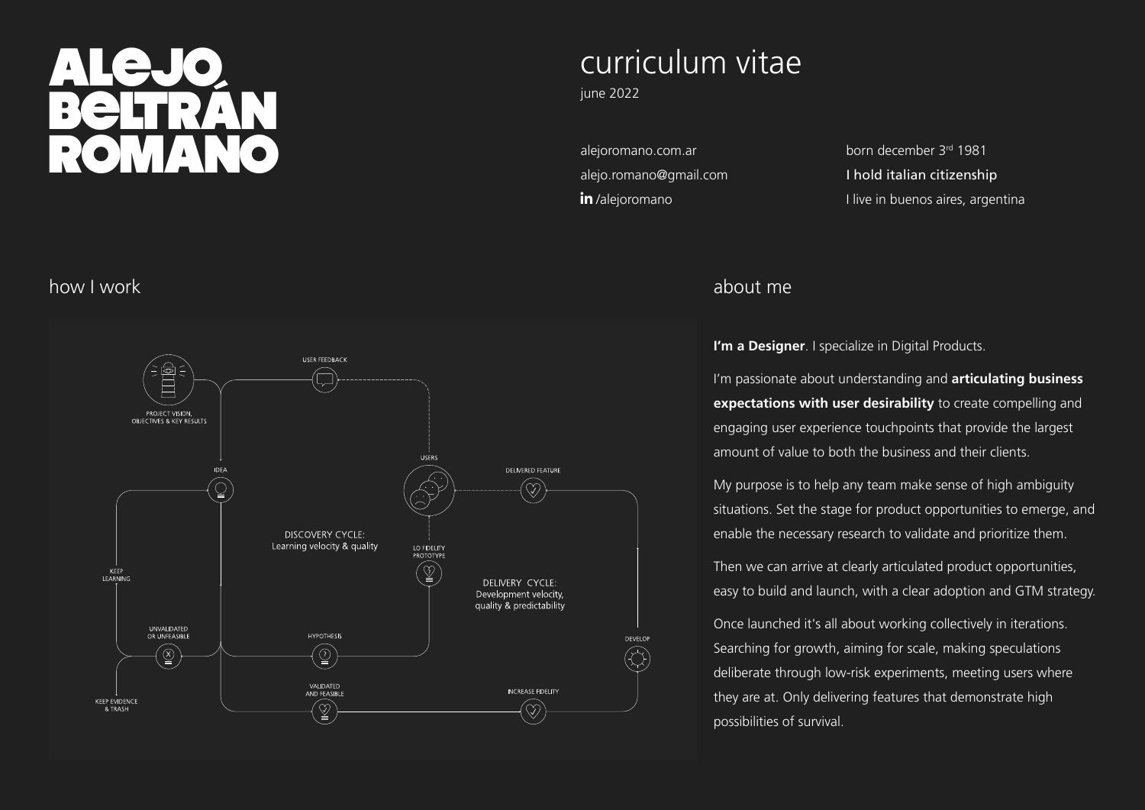# ALejo<br>Beltrán Romano

### curriculum vitae

june 2022

[alejoromano.com.ar](http://alejoromano.com.ar) [alejo.romano@gmail.com](mailto:alejo.romano%40gmail.com%20?subject=Hello%20from%20your%20CV%20Alejo%3A%20) in/alejoromano

born december 3rd 1981 I hold italian citizenship I live in buenos aires, argentina

#### how I work



#### about me

**I'm a Designer**. I specialize in Digital Products.

I'm passionate about understanding and **articulating business expectations with user desirability** to create compelling and engaging user experience touchpoints that provide the largest amount of value to both the business and their clients.

My purpose is to help any team make sense of high ambiguity situations. Set the stage for product opportunities to emerge, and enable the necessary research to validate and prioritize them.

Then we can arrive at clearly articulated product opportunities, easy to build and launch, with a clear adoption and GTM strategy.

Once launched it's all about working collectively in iterations. Searching for growth, aiming for scale, making speculations deliberate through low-risk experiments, meeting users where they are at. Only delivering features that demonstrate high possibilities of survival.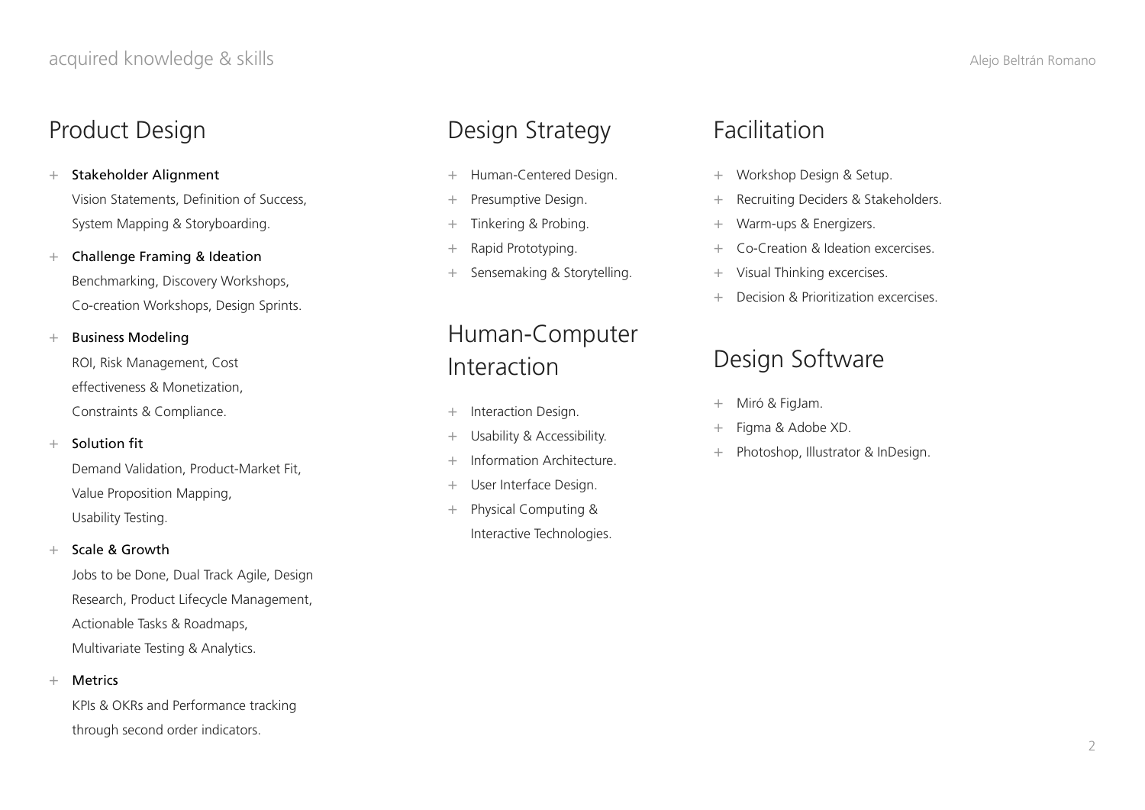### Product Design

+ Stakeholder Alignment Vision Statements, Definition of Success, System Mapping & Storyboarding.

+ Challenge Framing & Ideation Benchmarking, Discovery Workshops, Co-creation Workshops, Design Sprints.

#### + Business Modeling

ROI, Risk Management, Cost effectiveness & Monetization, Constraints & Compliance.

#### + Solution fit

Demand Validation, Product-Market Fit, Value Proposition Mapping, Usability Testing.

#### + Scale & Growth

Jobs to be Done, Dual Track Agile, Design Research, Product Lifecycle Management, Actionable Tasks & Roadmaps, Multivariate Testing & Analytics.

#### + Metrics

KPIs & OKRs and Performance tracking through second order indicators.

### Design Strategy

- + Human-Centered Design.
- + Presumptive Design.
- + Tinkering & Probing.
- + Rapid Prototyping.
- + Sensemaking & Storytelling.

### Human-Computer Interaction

- + Interaction Design.
- + Usability & Accessibility.
- + Information Architecture.
- + User Interface Design.
- + Physical Computing & Interactive Technologies.

### Facilitation

- + Workshop Design & Setup.
- + Recruiting Deciders & Stakeholders.
- + Warm-ups & Energizers.
- + Co-Creation & Ideation excercises.
- Visual Thinking excercises.
- + Decision & Prioritization excercises.

### Design Software

- + Miró & FigJam.
- Figma & Adobe XD.
- + Photoshop, Illustrator & InDesign.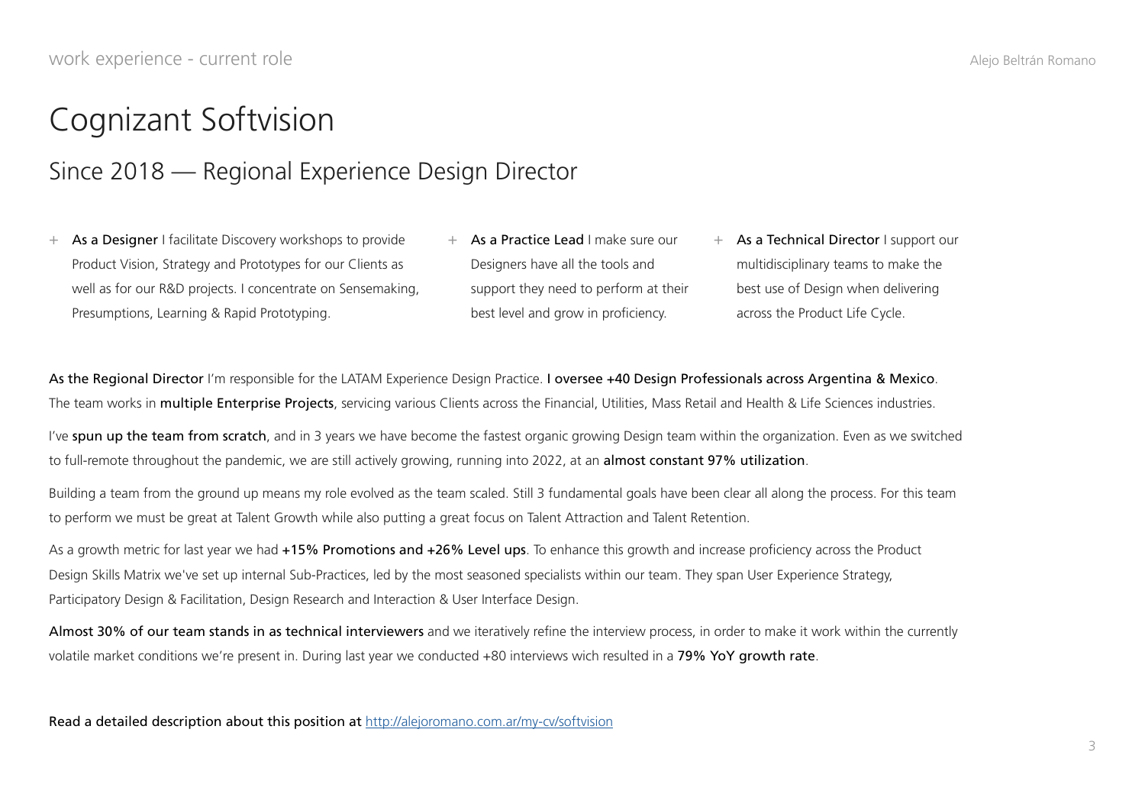### Cognizant Softvision

#### Since 2018 — Regional Experience Design Director

- + As a Designer I facilitate Discovery workshops to provide Product Vision, Strategy and Prototypes for our Clients as well as for our R&D projects. I concentrate on Sensemaking, Presumptions, Learning & Rapid Prototyping.
- + As a Practice Lead I make sure our Designers have all the tools and support they need to perform at their best level and grow in proficiency.
- + As a Technical Director I support our multidisciplinary teams to make the best use of Design when delivering across the Product Life Cycle.

As the Regional Director I'm responsible for the LATAM Experience Design Practice. I oversee +40 Design Professionals across Argentina & Mexico. The team works in multiple Enterprise Projects, servicing various Clients across the Financial, Utilities, Mass Retail and Health & Life Sciences industries.

I've spun up the team from scratch, and in 3 years we have become the fastest organic growing Design team within the organization. Even as we switched to full-remote throughout the pandemic, we are still actively growing, running into 2022, at an **almost constant 97% utilization**.

Building a team from the ground up means my role evolved as the team scaled. Still 3 fundamental goals have been clear all along the process. For this team to perform we must be great at Talent Growth while also putting a great focus on Talent Attraction and Talent Retention.

As a growth metric for last year we had +15% Promotions and +26% Level ups. To enhance this growth and increase proficiency across the Product Design Skills Matrix we've set up internal Sub-Practices, led by the most seasoned specialists within our team. They span User Experience Strategy, Participatory Design & Facilitation, Design Research and Interaction & User Interface Design.

Almost 30% of our team stands in as technical interviewers and we iteratively refine the interview process, in order to make it work within the currently volatile market conditions we're present in. During last year we conducted +80 interviews wich resulted in a 79% YoY growth rate.

Read a detailed description about this position at <http://alejoromano.com.ar/my-cv/softvision>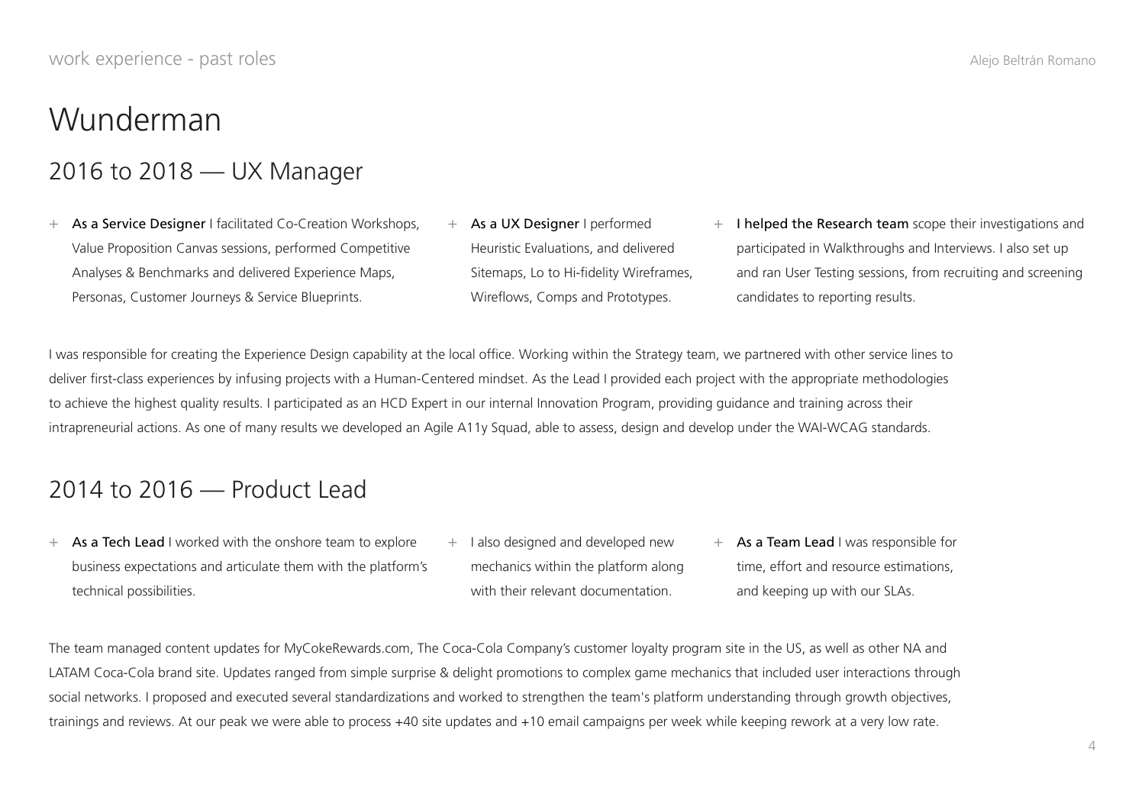# Wunderman

### 2016 to 2018 — UX Manager

- + As a Service Designer I facilitated Co-Creation Workshops, Value Proposition Canvas sessions, performed Competitive Analyses & Benchmarks and delivered Experience Maps, Personas, Customer Journeys & Service Blueprints.
- + As a UX Designer I performed Heuristic Evaluations, and delivered Sitemaps, Lo to Hi-fidelity Wireframes, Wireflows, Comps and Prototypes.
- + I helped the Research team scope their investigations and participated in Walkthroughs and Interviews. I also set up and ran User Testing sessions, from recruiting and screening candidates to reporting results.

I was responsible for creating the Experience Design capability at the local office. Working within the Strategy team, we partnered with other service lines to deliver first-class experiences by infusing projects with a Human-Centered mindset. As the Lead I provided each project with the appropriate methodologies to achieve the highest quality results. I participated as an HCD Expert in our internal Innovation Program, providing guidance and training across their intrapreneurial actions. As one of many results we developed an Agile A11y Squad, able to assess, design and develop under the WAI-WCAG standards.

### 2014 to 2016 — Product Lead

- $+$  As a Tech Lead I worked with the onshore team to explore business expectations and articulate them with the platform's technical possibilities.
- + I also designed and developed new mechanics within the platform along with their relevant documentation.
- + As a Team Lead I was responsible for time, effort and resource estimations, and keeping up with our SLAs.

The team managed content updates for MyCokeRewards.com, The Coca-Cola Company's customer loyalty program site in the US, as well as other NA and LATAM Coca-Cola brand site. Updates ranged from simple surprise & delight promotions to complex game mechanics that included user interactions through social networks. I proposed and executed several standardizations and worked to strengthen the team's platform understanding through growth objectives, trainings and reviews. At our peak we were able to process +40 site updates and +10 email campaigns per week while keeping rework at a very low rate.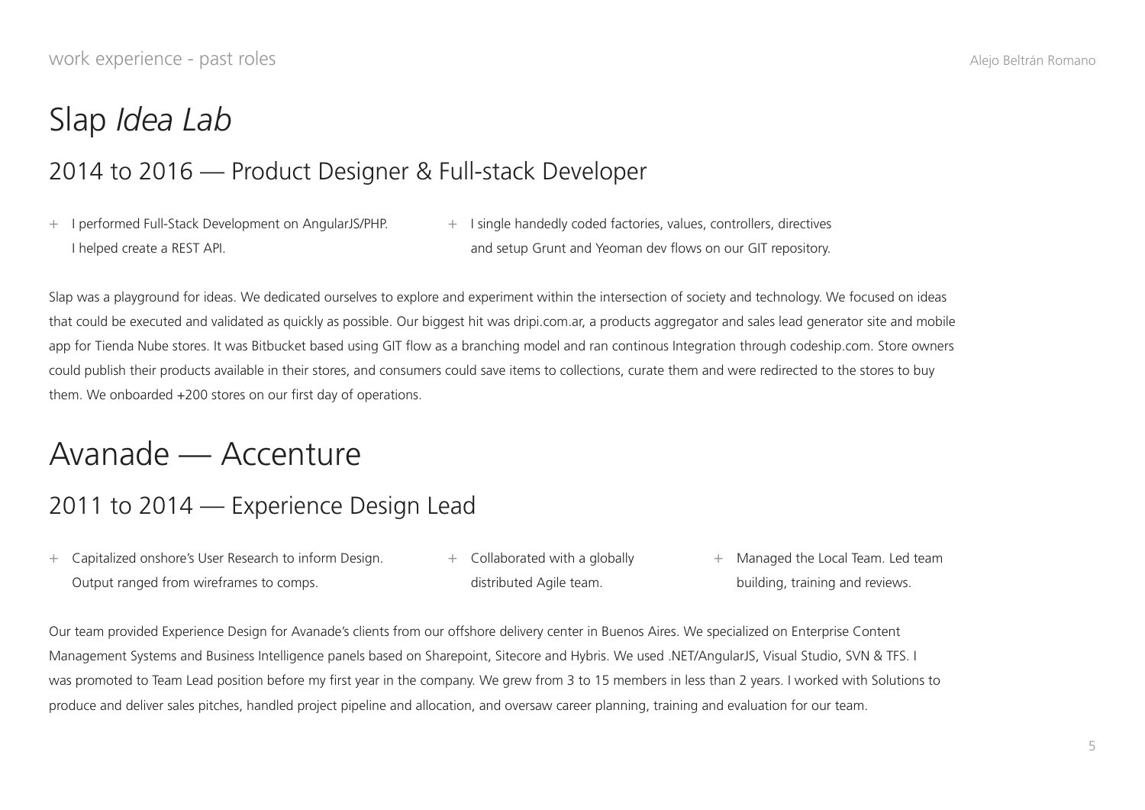### Slap *Idea Lab*

#### 2014 to 2016 — Product Designer & Full-stack Developer

- + I performed Full-Stack Development on AngularJS/PHP. I helped create a REST API.
- + I single handedly coded factories, values, controllers, directives and setup Grunt and Yeoman dev flows on our GIT repository.

Slap was a playground for ideas. We dedicated ourselves to explore and experiment within the intersection of society and technology. We focused on ideas that could be executed and validated as quickly as possible. Our biggest hit was dripi.com.ar, a products aggregator and sales lead generator site and mobile app for Tienda Nube stores. It was Bitbucket based using GIT flow as a branching model and ran continous Integration through codeship.com. Store owners could publish their products available in their stores, and consumers could save items to collections, curate them and were redirected to the stores to buy them. We onboarded +200 stores on our first day of operations.

### Avanade — Accenture

#### 2011 to 2014 — Experience Design Lead

- + Capitalized onshore's User Research to inform Design. Output ranged from wireframes to comps. + Collaborated with a globally distributed Agile team.
	- + Managed the Local Team. Led team building, training and reviews.

Our team provided Experience Design for Avanade's clients from our offshore delivery center in Buenos Aires. We specialized on Enterprise Content Management Systems and Business Intelligence panels based on Sharepoint, Sitecore and Hybris. We used .NET/AngularJS, Visual Studio, SVN & TFS. I was promoted to Team Lead position before my first year in the company. We grew from 3 to 15 members in less than 2 years. I worked with Solutions to produce and deliver sales pitches, handled project pipeline and allocation, and oversaw career planning, training and evaluation for our team.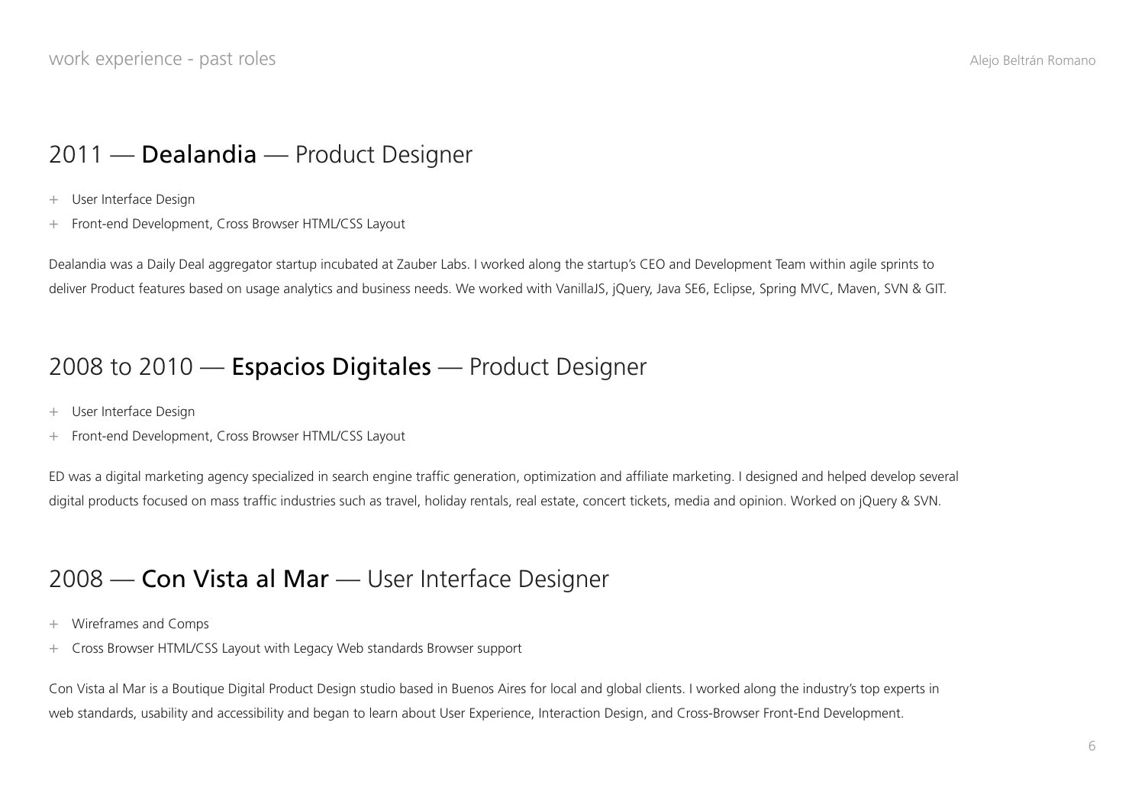### 2011 — Dealandia — Product Designer

+ User Interface Design

+ Front-end Development, Cross Browser HTML/CSS Layout

Dealandia was a Daily Deal aggregator startup incubated at Zauber Labs. I worked along the startup's CEO and Development Team within agile sprints to deliver Product features based on usage analytics and business needs. We worked with VanillaJS, jQuery, Java SE6, Eclipse, Spring MVC, Maven, SVN & GIT.

#### 2008 to 2010 - Espacios Digitales - Product Designer

- + User Interface Design
- + Front-end Development, Cross Browser HTML/CSS Layout

ED was a digital marketing agency specialized in search engine traffic generation, optimization and affiliate marketing. I designed and helped develop several digital products focused on mass traffic industries such as travel, holiday rentals, real estate, concert tickets, media and opinion. Worked on jQuery & SVN.

#### 2008 — Con Vista al Mar — User Interface Designer

- + Wireframes and Comps
- + Cross Browser HTML/CSS Layout with Legacy Web standards Browser support

Con Vista al Mar is a Boutique Digital Product Design studio based in Buenos Aires for local and global clients. I worked along the industry's top experts in web standards, usability and accessibility and began to learn about User Experience, Interaction Design, and Cross-Browser Front-End Development.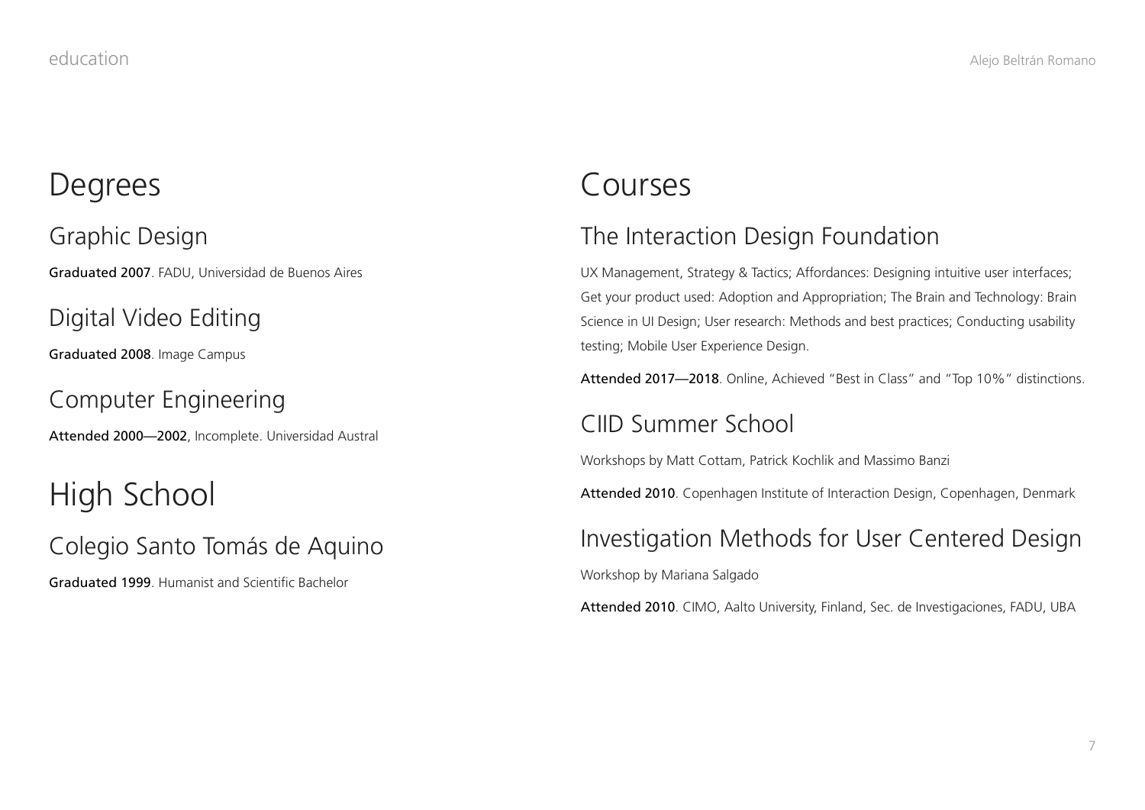### **Degrees**

Graphic Design Graduated 2007. FADU, Universidad de Buenos Aires

Digital Video Editing

Graduated 2008. Image Campus

Computer Engineering

Attended 2000—2002, Incomplete. Universidad Austral

High School

Colegio Santo Tomás de Aquino

Graduated 1999. Humanist and Scientific Bachelor

### Courses

### The Interaction Design Foundation

UX Management, Strategy & Tactics; Affordances: Designing intuitive user interfaces; Get your product used: Adoption and Appropriation; The Brain and Technology: Brain Science in UI Design; User research: Methods and best practices; Conducting usability testing; Mobile User Experience Design.

Attended 2017—2018. Online, Achieved "Best in Class" and "Top 10%" distinctions.

#### [CIID Summer School](http://alejoromano.com.ar/my-cv/ciid-summer-school)

Workshops by Matt Cottam, Patrick Kochlik and Massimo Banzi

Attended 2010. Copenhagen Institute of Interaction Design, Copenhagen, Denmark

#### Investigation Methods for User Centered Design

Workshop by Mariana Salgado

Attended 2010. CIMO, Aalto University, Finland, Sec. de Investigaciones, FADU, UBA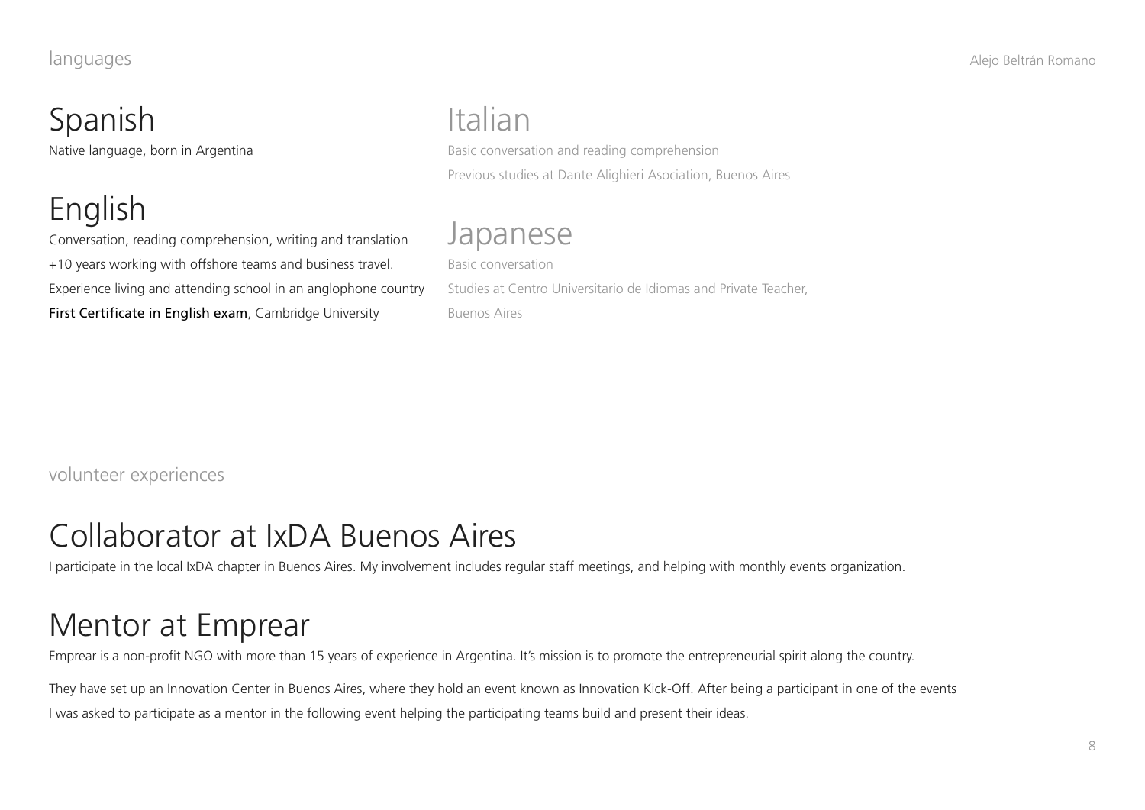# Spanish

Native language, born in Argentina

# English

Conversation, reading comprehension, writing and translation +10 years working with offshore teams and business travel. Experience living and attending school in an anglophone country First Certificate in English exam, Cambridge University

# Italian

Basic conversation and reading comprehension Previous studies at Dante Alighieri Asociation, Buenos Aires

### Japanese

Basic conversation Studies at Centro Universitario de Idiomas and Private Teacher, Buenos Aires

volunteer experiences

### Collaborator at IxDA Buenos Aires

I participate in the local IxDA chapter in Buenos Aires. My involvement includes regular staff meetings, and helping with monthly events organization.

# Mentor at Emprear

Emprear is a non-profit NGO with more than 15 years of experience in Argentina. It's mission is to promote the entrepreneurial spirit along the country.

They have set up an Innovation Center in Buenos Aires, where they hold an event known as Innovation Kick-Off. After being a participant in one of the events I was asked to participate as a mentor in the following event helping the participating teams build and present their ideas.